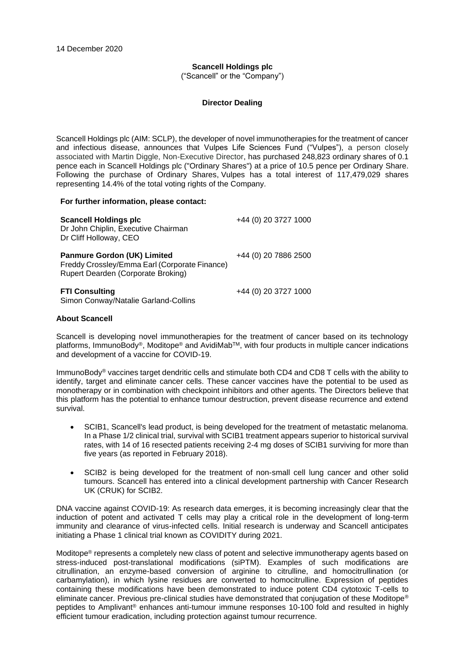# **Scancell Holdings plc**

("Scancell" or the "Company")

### **Director Dealing**

Scancell Holdings plc (AIM: SCLP), the developer of novel immunotherapies for the treatment of cancer and infectious disease, announces that Vulpes Life Sciences Fund ("Vulpes"), a person closely associated with Martin Diggle, Non-Executive Director, has purchased 248,823 ordinary shares of 0.1 pence each in Scancell Holdings plc ("Ordinary Shares") at a price of 10.5 pence per Ordinary Share. Following the purchase of Ordinary Shares, Vulpes has a total interest of 117,479,029 shares representing 14.4% of the total voting rights of the Company.

### **For further information, please contact:**

| <b>Scancell Holdings plc</b><br>Dr John Chiplin, Executive Chairman<br>Dr Cliff Holloway, CEO                             | +44 (0) 20 3727 1000 |
|---------------------------------------------------------------------------------------------------------------------------|----------------------|
| <b>Panmure Gordon (UK) Limited</b><br>Freddy Crossley/Emma Earl (Corporate Finance)<br>Rupert Dearden (Corporate Broking) | +44 (0) 20 7886 2500 |
| <b>FTI Consulting</b><br>Simon Conway/Natalie Garland-Collins                                                             | +44 (0) 20 3727 1000 |

### **About Scancell**

Scancell is developing novel immunotherapies for the treatment of cancer based on its technology platforms, ImmunoBody<sup>®</sup>, Moditope<sup>®</sup> and AvidiMab<sup>™</sup>, with four products in multiple cancer indications and development of a vaccine for COVID-19.

ImmunoBody® vaccines target dendritic cells and stimulate both CD4 and CD8 T cells with the ability to identify, target and eliminate cancer cells. These cancer vaccines have the potential to be used as monotherapy or in combination with checkpoint inhibitors and other agents. The Directors believe that this platform has the potential to enhance tumour destruction, prevent disease recurrence and extend survival.

- SCIB1, Scancell's lead product, is being developed for the treatment of metastatic melanoma. In a Phase 1/2 clinical trial, survival with SCIB1 treatment appears superior to historical survival rates, with 14 of 16 resected patients receiving 2-4 mg doses of SCIB1 surviving for more than five years (as reported in February 2018).
- SCIB2 is being developed for the treatment of non-small cell lung cancer and other solid tumours. Scancell has entered into a clinical development partnership with Cancer Research UK (CRUK) for SCIB2.

DNA vaccine against COVID-19: As research data emerges, it is becoming increasingly clear that the induction of potent and activated T cells may play a critical role in the development of long-term immunity and clearance of virus-infected cells. Initial research is underway and Scancell anticipates initiating a Phase 1 clinical trial known as COVIDITY during 2021.

Moditope® represents a completely new class of potent and selective immunotherapy agents based on stress-induced post-translational modifications (siPTM). Examples of such modifications are citrullination, an enzyme-based conversion of arginine to citrulline, and homocitrullination (or carbamylation), in which lysine residues are converted to homocitrulline. Expression of peptides containing these modifications have been demonstrated to induce potent CD4 cytotoxic T-cells to eliminate cancer. Previous pre-clinical studies have demonstrated that conjugation of these Moditope® peptides to Amplivant® enhances anti-tumour immune responses 10-100 fold and resulted in highly efficient tumour eradication, including protection against tumour recurrence.